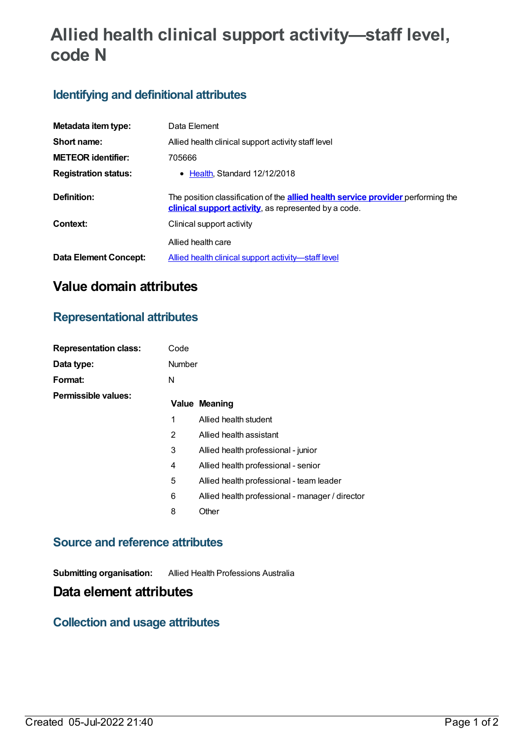# **Allied health clinical support activity—staff level, code N**

## **Identifying and definitional attributes**

| Metadata item type:          | Data Element                                                                                                                                    |  |  |
|------------------------------|-------------------------------------------------------------------------------------------------------------------------------------------------|--|--|
| Short name:                  | Allied health clinical support activity staff level                                                                                             |  |  |
| <b>METEOR identifier:</b>    | 705666                                                                                                                                          |  |  |
| <b>Registration status:</b>  | • Health, Standard 12/12/2018                                                                                                                   |  |  |
| Definition:                  | The position classification of the <b>allied health service provider</b> performing the<br>clinical support activity, as represented by a code. |  |  |
| Context:                     | Clinical support activity                                                                                                                       |  |  |
|                              | Allied health care                                                                                                                              |  |  |
| <b>Data Element Concept:</b> | Allied health clinical support activity-staff level                                                                                             |  |  |

# **Value domain attributes**

### **Representational attributes**

| <b>Representation class:</b> | Code          |                                                 |
|------------------------------|---------------|-------------------------------------------------|
| Data type:                   | <b>Number</b> |                                                 |
| Format:                      | N             |                                                 |
| Permissible values:          |               | <b>Value Meaning</b>                            |
|                              | 1             | Allied health student                           |
|                              | 2             | Allied health assistant                         |
|                              | 3             | Allied health professional - junior             |
|                              | 4             | Allied health professional - senior             |
|                              | 5             | Allied health professional - team leader        |
|                              | 6             | Allied health professional - manager / director |
|                              | 8             | Other                                           |
|                              |               |                                                 |

#### **Source and reference attributes**

**Submitting organisation:** Allied Health Professions Australia

### **Data element attributes**

### **Collection and usage attributes**